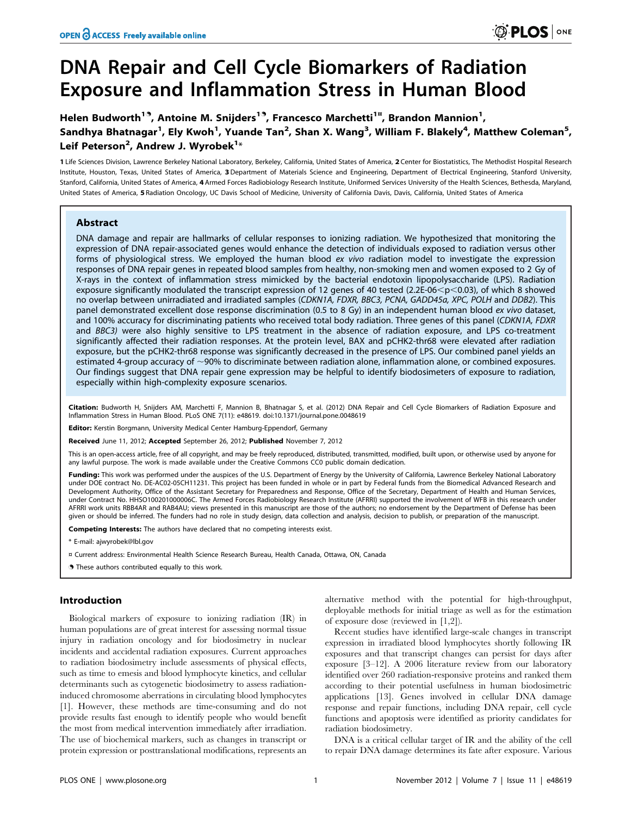# DNA Repair and Cell Cycle Biomarkers of Radiation Exposure and Inflammation Stress in Human Blood

Helen Budworth<sup>19</sup>, Antoine M. Snijders<sup>19</sup>, Francesco Marchetti<sup>1¤</sup>, Brandon Mannion<sup>1</sup>, Sandhya Bhatnagar<sup>1</sup>, Ely Kwoh<sup>1</sup>, Yuande Tan<sup>2</sup>, Shan X. Wang<sup>3</sup>, William F. Blakely<sup>4</sup>, Matthew Coleman<sup>5</sup>, Leif Peterson<sup>2</sup>, Andrew J. Wyrobek<sup>1</sup>\*

1 Life Sciences Division, Lawrence Berkeley National Laboratory, Berkeley, California, United States of America, 2 Center for Biostatistics, The Methodist Hospital Research Institute, Houston, Texas, United States of America, 3 Department of Materials Science and Engineering, Department of Electrical Engineering, Stanford University, Stanford, California, United States of America, 4 Armed Forces Radiobiology Research Institute, Uniformed Services University of the Health Sciences, Bethesda, Maryland, United States of America, 5 Radiation Oncology, UC Davis School of Medicine, University of California Davis, Davis, California, United States of America

## Abstract

DNA damage and repair are hallmarks of cellular responses to ionizing radiation. We hypothesized that monitoring the expression of DNA repair-associated genes would enhance the detection of individuals exposed to radiation versus other forms of physiological stress. We employed the human blood ex vivo radiation model to investigate the expression responses of DNA repair genes in repeated blood samples from healthy, non-smoking men and women exposed to 2 Gy of X-rays in the context of inflammation stress mimicked by the bacterial endotoxin lipopolysaccharide (LPS). Radiation exposure significantly modulated the transcript expression of 12 genes of 40 tested (2.2E-06 $\lt$ p $\lt$ 0.03), of which 8 showed no overlap between unirradiated and irradiated samples (CDKN1A, FDXR, BBC3, PCNA, GADD45a, XPC, POLH and DDB2). This panel demonstrated excellent dose response discrimination (0.5 to 8 Gy) in an independent human blood ex vivo dataset, and 100% accuracy for discriminating patients who received total body radiation. Three genes of this panel (CDKN1A, FDXR and BBC3) were also highly sensitive to LPS treatment in the absence of radiation exposure, and LPS co-treatment significantly affected their radiation responses. At the protein level, BAX and pCHK2-thr68 were elevated after radiation exposure, but the pCHK2-thr68 response was significantly decreased in the presence of LPS. Our combined panel yields an estimated 4-group accuracy of  $\sim$ 90% to discriminate between radiation alone, inflammation alone, or combined exposures. Our findings suggest that DNA repair gene expression may be helpful to identify biodosimeters of exposure to radiation, especially within high-complexity exposure scenarios.

Citation: Budworth H, Snijders AM, Marchetti F, Mannion B, Bhatnagar S, et al. (2012) DNA Repair and Cell Cycle Biomarkers of Radiation Exposure and Inflammation Stress in Human Blood. PLoS ONE 7(11): e48619. doi:10.1371/journal.pone.0048619

Editor: Kerstin Borgmann, University Medical Center Hamburg-Eppendorf, Germany

Received June 11, 2012; Accepted September 26, 2012; Published November 7, 2012

This is an open-access article, free of all copyright, and may be freely reproduced, distributed, transmitted, modified, built upon, or otherwise used by anyone for any lawful purpose. The work is made available under the Creative Commons CC0 public domain dedication.

Funding: This work was performed under the auspices of the U.S. Department of Energy by the University of California, Lawrence Berkeley National Laboratory under DOE contract No. DE-AC02-05CH11231. This project has been funded in whole or in part by Federal funds from the Biomedical Advanced Research and Development Authority, Office of the Assistant Secretary for Preparedness and Response, Office of the Secretary, Department of Health and Human Services, under Contract No. HHSO100201000006C. The Armed Forces Radiobiology Research Institute (AFRRI) supported the involvement of WFB in this research under AFRRI work units RBB4AR and RAB4AU; views presented in this manuscript are those of the authors; no endorsement by the Department of Defense has been given or should be inferred. The funders had no role in study design, data collection and analysis, decision to publish, or preparation of the manuscript.

Competing Interests: The authors have declared that no competing interests exist.

\* E-mail: ajwyrobek@lbl.gov

¤ Current address: Environmental Health Science Research Bureau, Health Canada, Ottawa, ON, Canada

**.** These authors contributed equally to this work.

## Introduction

Biological markers of exposure to ionizing radiation (IR) in human populations are of great interest for assessing normal tissue injury in radiation oncology and for biodosimetry in nuclear incidents and accidental radiation exposures. Current approaches to radiation biodosimetry include assessments of physical effects, such as time to emesis and blood lymphocyte kinetics, and cellular determinants such as cytogenetic biodosimetry to assess radiationinduced chromosome aberrations in circulating blood lymphocytes [1]. However, these methods are time-consuming and do not provide results fast enough to identify people who would benefit the most from medical intervention immediately after irradiation. The use of biochemical markers, such as changes in transcript or protein expression or posttranslational modifications, represents an

alternative method with the potential for high-throughput, deployable methods for initial triage as well as for the estimation of exposure dose (reviewed in [1,2]).

Recent studies have identified large-scale changes in transcript expression in irradiated blood lymphocytes shortly following IR exposures and that transcript changes can persist for days after exposure [3–12]. A 2006 literature review from our laboratory identified over 260 radiation-responsive proteins and ranked them according to their potential usefulness in human biodosimetric applications [13]. Genes involved in cellular DNA damage response and repair functions, including DNA repair, cell cycle functions and apoptosis were identified as priority candidates for radiation biodosimetry.

DNA is a critical cellular target of IR and the ability of the cell to repair DNA damage determines its fate after exposure. Various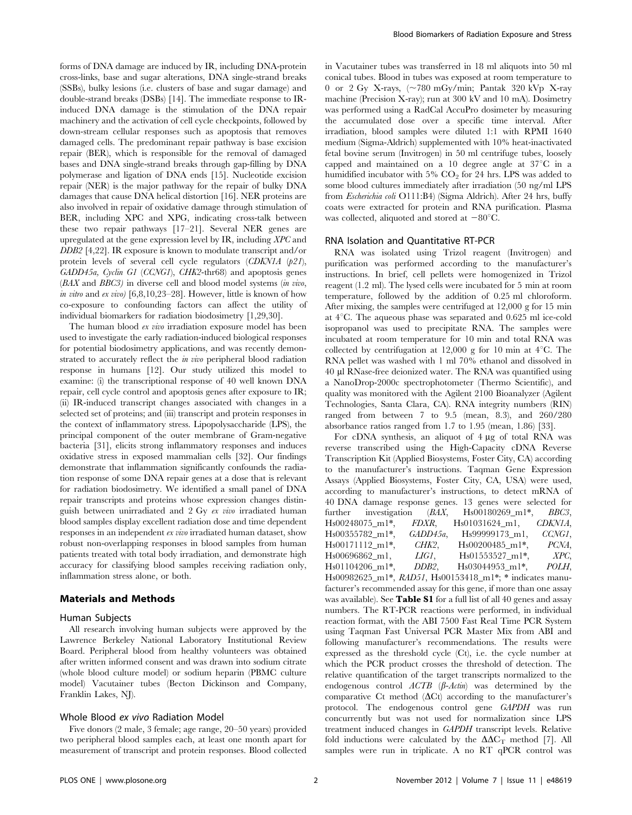forms of DNA damage are induced by IR, including DNA-protein cross-links, base and sugar alterations, DNA single-strand breaks (SSBs), bulky lesions (i.e. clusters of base and sugar damage) and double-strand breaks (DSBs) [14]. The immediate response to IRinduced DNA damage is the stimulation of the DNA repair machinery and the activation of cell cycle checkpoints, followed by down-stream cellular responses such as apoptosis that removes damaged cells. The predominant repair pathway is base excision repair (BER), which is responsible for the removal of damaged bases and DNA single-strand breaks through gap-filling by DNA polymerase and ligation of DNA ends [15]. Nucleotide excision repair (NER) is the major pathway for the repair of bulky DNA damages that cause DNA helical distortion [16]. NER proteins are also involved in repair of oxidative damage through stimulation of BER, including XPC and XPG, indicating cross-talk between these two repair pathways [17–21]. Several NER genes are upregulated at the gene expression level by IR, including XPC and DDB2 [4,22]. IR exposure is known to modulate transcript and/or protein levels of several cell cycle regulators  $(CDKN1A (p21))$ , GADD45a, Cyclin G1 (CCNG1), CHK2-thr68) and apoptosis genes (BAX and BBC3) in diverse cell and blood model systems (in vivo, in vitro and ex vivo) [6,8,10,23–28]. However, little is known of how co-exposure to confounding factors can affect the utility of individual biomarkers for radiation biodosimetry [1,29,30].

The human blood ex vivo irradiation exposure model has been used to investigate the early radiation-induced biological responses for potential biodosimetry applications, and was recently demonstrated to accurately reflect the in vivo peripheral blood radiation response in humans [12]. Our study utilized this model to examine: (i) the transcriptional response of 40 well known DNA repair, cell cycle control and apoptosis genes after exposure to IR; (ii) IR-induced transcript changes associated with changes in a selected set of proteins; and (iii) transcript and protein responses in the context of inflammatory stress. Lipopolysaccharide (LPS), the principal component of the outer membrane of Gram-negative bacteria [31], elicits strong inflammatory responses and induces oxidative stress in exposed mammalian cells [32]. Our findings demonstrate that inflammation significantly confounds the radiation response of some DNA repair genes at a dose that is relevant for radiation biodosimetry. We identified a small panel of DNA repair transcripts and proteins whose expression changes distinguish between unirradiated and 2 Gy ex vivo irradiated human blood samples display excellent radiation dose and time dependent responses in an independent ex vivo irradiated human dataset, show robust non-overlapping responses in blood samples from human patients treated with total body irradiation, and demonstrate high accuracy for classifying blood samples receiving radiation only, inflammation stress alone, or both.

## Materials and Methods

### Human Subjects

All research involving human subjects were approved by the Lawrence Berkeley National Laboratory Institutional Review Board. Peripheral blood from healthy volunteers was obtained after written informed consent and was drawn into sodium citrate (whole blood culture model) or sodium heparin (PBMC culture model) Vacutainer tubes (Becton Dickinson and Company, Franklin Lakes, NJ).

#### Whole Blood ex vivo Radiation Model

Five donors (2 male, 3 female; age range, 20–50 years) provided two peripheral blood samples each, at least one month apart for measurement of transcript and protein responses. Blood collected in Vacutainer tubes was transferred in 18 ml aliquots into 50 ml conical tubes. Blood in tubes was exposed at room temperature to 0 or 2 Gy X-rays,  $\sim 780$  mGy/min; Pantak 320 kVp X-ray machine (Precision X-ray); run at 300 kV and 10 mA). Dosimetry was performed using a RadCal AccuPro dosimeter by measuring the accumulated dose over a specific time interval. After irradiation, blood samples were diluted 1:1 with RPMI 1640 medium (Sigma-Aldrich) supplemented with 10% heat-inactivated fetal bovine serum (Invitrogen) in 50 ml centrifuge tubes, loosely capped and maintained on a  $10$  degree angle at  $37^{\circ}$ C in a humidified incubator with  $5\%$  CO<sub>2</sub> for 24 hrs. LPS was added to some blood cultures immediately after irradiation (50 ng/ml LPS from Escherichia coli O111:B4) (Sigma Aldrich). After 24 hrs, buffy coats were extracted for protein and RNA purification. Plasma was collected, aliquoted and stored at  $-80^{\circ}$ C.

#### RNA Isolation and Quantitative RT-PCR

RNA was isolated using Trizol reagent (Invitrogen) and purification was performed according to the manufacturer's instructions. In brief, cell pellets were homogenized in Trizol reagent (1.2 ml). The lysed cells were incubated for 5 min at room temperature, followed by the addition of 0.25 ml chloroform. After mixing, the samples were centrifuged at 12,000 g for 15 min at  $4^{\circ}$ C. The aqueous phase was separated and 0.625 ml ice-cold isopropanol was used to precipitate RNA. The samples were incubated at room temperature for 10 min and total RNA was collected by centrifugation at 12,000 g for 10 min at  $4^{\circ}$ C. The RNA pellet was washed with 1 ml 70% ethanol and dissolved in 40 ml RNase-free deionized water. The RNA was quantified using a NanoDrop-2000c spectrophotometer (Thermo Scientific), and quality was monitored with the Agilent 2100 Bioanalyzer (Agilent Technologies, Santa Clara, CA). RNA integrity numbers (RIN) ranged from between 7 to 9.5 (mean, 8.3), and 260/280 absorbance ratios ranged from 1.7 to 1.95 (mean, 1.86) [33].

For cDNA synthesis, an aliquot of  $4 \mu$ g of total RNA was reverse transcribed using the High-Capacity cDNA Reverse Transcription Kit (Applied Biosystems, Foster City, CA) according to the manufacturer's instructions. Taqman Gene Expression Assays (Applied Biosystems, Foster City, CA, USA) were used, according to manufacturer's instructions, to detect mRNA of 40 DNA damage response genes. 13 genes were selected for further investigation (BAX, Hs00180269\_m1\*, BBC3, Hs00248075\_m1\*, FDXR, Hs01031624\_m1, CDKN1A, Hs00355782\_m1\*, GADD45a, Hs99999173\_m1, CCNG1, Hs00171112\_m1\*, CHK2, Hs00200485\_m1\*, PCNA, Hs00696862\_m1, LIG1, Hs01553527\_m1\*, XPC, Hs01104206\_m1\*, DDB2, Hs03044953\_m1\*, POLH, Hs00982625\_m1\*, RAD51, Hs00153418\_m1\*; \* indicates manufacturer's recommended assay for this gene, if more than one assay was available). See **Table S1** for a full list of all 40 genes and assay numbers. The RT-PCR reactions were performed, in individual reaction format, with the ABI 7500 Fast Real Time PCR System using Taqman Fast Universal PCR Master Mix from ABI and following manufacturer's recommendations. The results were expressed as the threshold cycle (Ct), i.e. the cycle number at which the PCR product crosses the threshold of detection. The relative quantification of the target transcripts normalized to the endogenous control  $ACTB$  ( $\beta$ -Actin) was determined by the comparative Ct method  $(\Delta Ct)$  according to the manufacturer's protocol. The endogenous control gene GAPDH was run concurrently but was not used for normalization since LPS treatment induced changes in GAPDH transcript levels. Relative fold inductions were calculated by the  $\Delta \Delta C_T$  method [7]. All samples were run in triplicate. A no RT qPCR control was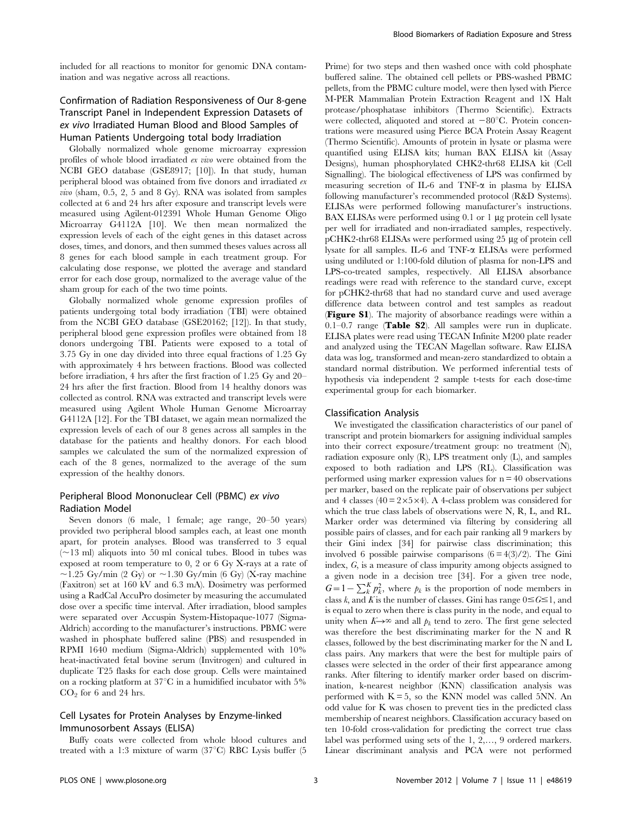included for all reactions to monitor for genomic DNA contamination and was negative across all reactions.

# Confirmation of Radiation Responsiveness of Our 8-gene Transcript Panel in Independent Expression Datasets of ex vivo Irradiated Human Blood and Blood Samples of Human Patients Undergoing total body Irradiation

Globally normalized whole genome microarray expression profiles of whole blood irradiated ex vivo were obtained from the NCBI GEO database (GSE8917; [10]). In that study, human peripheral blood was obtained from five donors and irradiated ex *vivo* (sham,  $0.5$ ,  $2$ ,  $5$  and  $8$  Gy). RNA was isolated from samples collected at 6 and 24 hrs after exposure and transcript levels were measured using Agilent-012391 Whole Human Genome Oligo Microarray G4112A [10]. We then mean normalized the expression levels of each of the eight genes in this dataset across doses, times, and donors, and then summed theses values across all 8 genes for each blood sample in each treatment group. For calculating dose response, we plotted the average and standard error for each dose group, normalized to the average value of the sham group for each of the two time points.

Globally normalized whole genome expression profiles of patients undergoing total body irradiation (TBI) were obtained from the NCBI GEO database (GSE20162; [12]). In that study, peripheral blood gene expression profiles were obtained from 18 donors undergoing TBI. Patients were exposed to a total of 3.75 Gy in one day divided into three equal fractions of 1.25 Gy with approximately 4 hrs between fractions. Blood was collected before irradiation, 4 hrs after the first fraction of 1.25 Gy and 20– 24 hrs after the first fraction. Blood from 14 healthy donors was collected as control. RNA was extracted and transcript levels were measured using Agilent Whole Human Genome Microarray G4112A [12]. For the TBI dataset, we again mean normalized the expression levels of each of our 8 genes across all samples in the database for the patients and healthy donors. For each blood samples we calculated the sum of the normalized expression of each of the 8 genes, normalized to the average of the sum expression of the healthy donors.

## Peripheral Blood Mononuclear Cell (PBMC) ex vivo Radiation Model

Seven donors (6 male, 1 female; age range, 20–50 years) provided two peripheral blood samples each, at least one month apart, for protein analyses. Blood was transferred to 3 equal  $(\sim13 \text{ ml})$  aliquots into 50 ml conical tubes. Blood in tubes was exposed at room temperature to 0, 2 or 6 Gy X-rays at a rate of  $\sim$ 1.25 Gy/min (2 Gy) or  $\sim$ 1.30 Gy/min (6 Gy) (X-ray machine (Faxitron) set at 160 kV and 6.3 mA). Dosimetry was performed using a RadCal AccuPro dosimeter by measuring the accumulated dose over a specific time interval. After irradiation, blood samples were separated over Accuspin System-Histopaque-1077 (Sigma-Aldrich) according to the manufacturer's instructions. PBMC were washed in phosphate buffered saline (PBS) and resuspended in RPMI 1640 medium (Sigma-Aldrich) supplemented with 10% heat-inactivated fetal bovine serum (Invitrogen) and cultured in duplicate T25 flasks for each dose group. Cells were maintained on a rocking platform at  $37^{\circ}$ C in a humidified incubator with  $5\%$  $CO<sub>2</sub>$  for 6 and 24 hrs.

## Cell Lysates for Protein Analyses by Enzyme-linked Immunosorbent Assays (ELISA)

Buffy coats were collected from whole blood cultures and treated with a 1:3 mixture of warm  $(37^{\circ}C)$  RBC Lysis buffer (5

Prime) for two steps and then washed once with cold phosphate buffered saline. The obtained cell pellets or PBS-washed PBMC pellets, from the PBMC culture model, were then lysed with Pierce M-PER Mammalian Protein Extraction Reagent and 1X Halt protease/phosphatase inhibitors (Thermo Scientific). Extracts were collected, aliquoted and stored at  $-80^{\circ}$ C. Protein concentrations were measured using Pierce BCA Protein Assay Reagent (Thermo Scientific). Amounts of protein in lysate or plasma were quantified using ELISA kits; human BAX ELISA kit (Assay Designs), human phosphorylated CHK2-thr68 ELISA kit (Cell Signalling). The biological effectiveness of LPS was confirmed by measuring secretion of IL-6 and TNF- $\alpha$  in plasma by ELISA following manufacturer's recommended protocol (R&D Systems). ELISAs were performed following manufacturer's instructions. BAX ELISAs were performed using  $0.1$  or 1  $\mu$ g protein cell lysate per well for irradiated and non-irradiated samples, respectively.  $p$ CHK2-thr68 ELISAs were performed using 25  $\mu$ g of protein cell lysate for all samples. IL-6 and TNF-a ELISAs were performed using undiluted or 1:100-fold dilution of plasma for non-LPS and LPS-co-treated samples, respectively. All ELISA absorbance readings were read with reference to the standard curve, except for pCHK2-thr68 that had no standard curve and used average difference data between control and test samples as readout (Figure S1). The majority of absorbance readings were within a 0.1–0.7 range (Table S2). All samples were run in duplicate. ELISA plates were read using TECAN Infinite M200 plate reader and analyzed using the TECAN Magellan software. Raw ELISA data was loge transformed and mean-zero standardized to obtain a standard normal distribution. We performed inferential tests of hypothesis via independent 2 sample t-tests for each dose-time experimental group for each biomarker.

#### Classification Analysis

We investigated the classification characteristics of our panel of transcript and protein biomarkers for assigning individual samples into their correct exposure/treatment group: no treatment (N), radiation exposure only  $(R)$ , LPS treatment only  $(L)$ , and samples exposed to both radiation and LPS (RL). Classification was performed using marker expression values for  $n = 40$  observations per marker, based on the replicate pair of observations per subject and 4 classes (40 =  $2 \times 5 \times 4$ ). A 4-class problem was considered for which the true class labels of observations were N, R, L, and RL. Marker order was determined via filtering by considering all possible pairs of classes, and for each pair ranking all 9 markers by their Gini index [34] for pairwise class discrimination; this involved 6 possible pairwise comparisons  $(6 = 4(3)/2)$ . The Gini index, G, is a measure of class impurity among objects assigned to a given node in a decision tree [34]. For a given tree node,  $G=1-\sum_{k}^{K} p_{k}^{2}$ , where  $p_{k}$  is the proportion of node members in class k, and K is the number of classes. Gini has range  $0 \leq G \leq 1$ , and is equal to zero when there is class purity in the node, and equal to unity when  $K\rightarrow\infty$  and all  $p_k$  tend to zero. The first gene selected was therefore the best discriminating marker for the N and R classes, followed by the best discriminating marker for the N and L class pairs. Any markers that were the best for multiple pairs of classes were selected in the order of their first appearance among ranks. After filtering to identify marker order based on discrimination, k-nearest neighbor (KNN) classification analysis was performed with  $K = 5$ , so the KNN model was called 5NN. An odd value for K was chosen to prevent ties in the predicted class membership of nearest neighbors. Classification accuracy based on ten 10-fold cross-validation for predicting the correct true class label was performed using sets of the 1, 2,…, 9 ordered markers. Linear discriminant analysis and PCA were not performed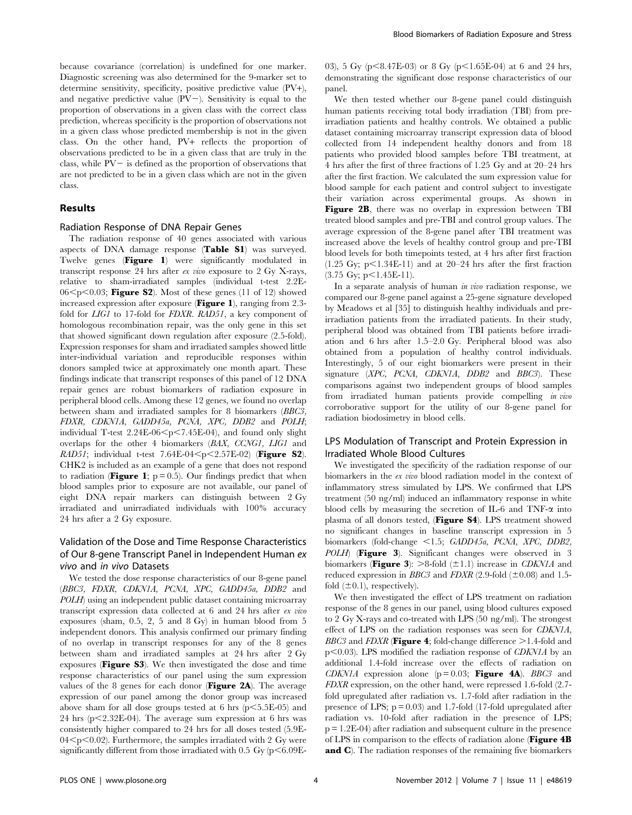because covariance (correlation) is undefined for one marker. Diagnostic screening was also determined for the 9-marker set to determine sensitivity, specificity, positive predictive value (PV+), and negative predictive value  $(PV-)$ . Sensitivity is equal to the proportion of observations in a given class with the correct class prediction, whereas specificity is the proportion of observations not in a given class whose predicted membership is not in the given class. On the other hand, PV+ reflects the proportion of observations predicted to be in a given class that are truly in the class, while  $PV-$  is defined as the proportion of observations that are not predicted to be in a given class which are not in the given class.

## Results

#### Radiation Response of DNA Repair Genes

The radiation response of 40 genes associated with various aspects of DNA damage response (Table S1) was surveyed. Twelve genes (Figure 1) were significantly modulated in transcript response 24 hrs after ex vivo exposure to 2 Gy X-rays, relative to sham-irradiated samples (individual t-test 2.2E- $06$  <p < 0.03; Figure S2). Most of these genes (11 of 12) showed increased expression after exposure (Figure 1), ranging from 2.3fold for *LIG1* to 17-fold for *FDXR*. *RAD51*, a key component of homologous recombination repair, was the only gene in this set that showed significant down regulation after exposure (2.5-fold). Expression responses for sham and irradiated samples showed little inter-individual variation and reproducible responses within donors sampled twice at approximately one month apart. These findings indicate that transcript responses of this panel of 12 DNA repair genes are robust biomarkers of radiation exposure in peripheral blood cells. Among these 12 genes, we found no overlap between sham and irradiated samples for 8 biomarkers (BBC3, FDXR, CDKN1A, GADD45a, PCNA, XPC, DDB2 and POLH; individual T-test  $2.24E-06\leq p\leq7.45E-04$ ), and found only slight overlaps for the other 4 biomarkers (BAX, CCNG1, LIG1 and  $RAD51$ ; individual t-test 7.64E-04<p<2.57E-02) (Figure S2). CHK2 is included as an example of a gene that does not respond to radiation (**Figure 1**;  $p = 0.5$ ). Our findings predict that when blood samples prior to exposure are not available, our panel of eight DNA repair markers can distinguish between 2 Gy irradiated and unirradiated individuals with 100% accuracy 24 hrs after a 2 Gy exposure.

# Validation of the Dose and Time Response Characteristics of Our 8-gene Transcript Panel in Independent Human ex vivo and in vivo Datasets

We tested the dose response characteristics of our 8-gene panel (BBC3, FDXR, CDKN1A, PCNA, XPC, GADD45a, DDB2 and POLH) using an independent public dataset containing microarray transcript expression data collected at 6 and 24 hrs after ex vivo exposures (sham, 0.5, 2, 5 and 8 Gy) in human blood from 5 independent donors. This analysis confirmed our primary finding of no overlap in transcript responses for any of the 8 genes between sham and irradiated samples at 24 hrs after 2 Gy exposures (Figure S3). We then investigated the dose and time response characteristics of our panel using the sum expression values of the 8 genes for each donor (**Figure 2A**). The average expression of our panel among the donor group was increased above sham for all dose groups tested at 6 hrs  $(p<5.5E-05)$  and 24 hrs ( $p<2.32E-04$ ). The average sum expression at 6 hrs was consistently higher compared to 24 hrs for all doses tested (5.9E- $04$  <p < 0.02). Furthermore, the samples irradiated with 2 Gy were significantly different from those irradiated with  $0.5 \text{ Gy (p < 6.09E-}$  03), 5 Gy (p $\leq$ 8.47E-03) or 8 Gy (p $\leq$ 1.65E-04) at 6 and 24 hrs, demonstrating the significant dose response characteristics of our panel.

We then tested whether our 8-gene panel could distinguish human patients receiving total body irradiation (TBI) from preirradiation patients and healthy controls. We obtained a public dataset containing microarray transcript expression data of blood collected from 14 independent healthy donors and from 18 patients who provided blood samples before TBI treatment, at 4 hrs after the first of three fractions of 1.25 Gy and at 20–24 hrs after the first fraction. We calculated the sum expression value for blood sample for each patient and control subject to investigate their variation across experimental groups. As shown in Figure 2B, there was no overlap in expression between TBI treated blood samples and pre-TBI and control group values. The average expression of the 8-gene panel after TBI treatment was increased above the levels of healthy control group and pre-TBI blood levels for both timepoints tested, at 4 hrs after first fraction (1.25 Gy;  $p<1.34E-11$ ) and at 20-24 hrs after the first fraction  $(3.75 \text{ Gy}; \text{p} < 1.45E-11).$ 

In a separate analysis of human in vivo radiation response, we compared our 8-gene panel against a 25-gene signature developed by Meadows et al [35] to distinguish healthy individuals and preirradiation patients from the irradiated patients. In their study, peripheral blood was obtained from TBI patients before irradiation and 6 hrs after 1.5–2.0 Gy. Peripheral blood was also obtained from a population of healthy control individuals. Interestingly, 5 of our eight biomarkers were present in their signature (XPC, PCNA, CDKN1A, DDB2 and BBC3). These comparisons against two independent groups of blood samples from irradiated human patients provide compelling in vivo corroborative support for the utility of our 8-gene panel for radiation biodosimetry in blood cells.

## LPS Modulation of Transcript and Protein Expression in Irradiated Whole Blood Cultures

We investigated the specificity of the radiation response of our biomarkers in the ex vivo blood radiation model in the context of inflammatory stress simulated by LPS. We confirmed that LPS treatment (50 ng/ml) induced an inflammatory response in white blood cells by measuring the secretion of IL-6 and TNF- $\alpha$  into plasma of all donors tested, (Figure S4). LPS treatment showed no significant changes in baseline transcript expression in 5 biomarkers (fold-change <1.5; GADD45a, PCNA, XPC, DDB2, POLH) (Figure 3). Significant changes were observed in 3 biomarkers (**Figure 3**):  $>8$ -fold ( $\pm$ 1.1) increase in *CDKN1A* and reduced expression in *BBC3* and *FDXR* (2.9-fold ( $\pm$ 0.08) and 1.5fold  $(\pm 0.1)$ , respectively).

We then investigated the effect of LPS treatment on radiation response of the 8 genes in our panel, using blood cultures exposed to 2 Gy X-rays and co-treated with LPS (50 ng/ml). The strongest effect of LPS on the radiation responses was seen for CDKN1A, *BBC3* and *FDXR* (**Figure 4**; fold-change difference  $>1.4$ -fold and  $p<0.03$ ). LPS modified the radiation response of *CDKN1A* by an additional 1.4-fold increase over the effects of radiation on CDKN1A expression alone  $(p = 0.03;$  Figure 4A). BBC3 and FDXR expression, on the other hand, were repressed 1.6-fold (2.7 fold upregulated after radiation vs. 1.7-fold after radiation in the presence of LPS;  $p = 0.03$ ) and 1.7-fold (17-fold upregulated after radiation vs. 10-fold after radiation in the presence of LPS; p = 1.2E-04) after radiation and subsequent culture in the presence of LPS in comparison to the effects of radiation alone (Figure 4B and C). The radiation responses of the remaining five biomarkers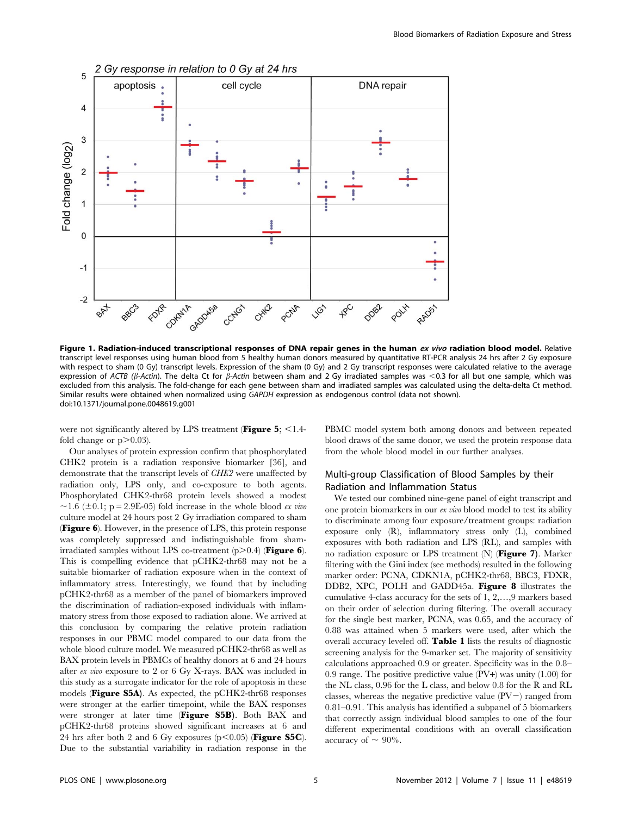

Figure 1. Radiation-induced transcriptional responses of DNA repair genes in the human ex vivo radiation blood model. Relative transcript level responses using human blood from 5 healthy human donors measured by quantitative RT-PCR analysis 24 hrs after 2 Gy exposure with respect to sham (0 Gy) transcript levels. Expression of the sham (0 Gy) and 2 Gy transcript responses were calculated relative to the average expression of ACTB ( $\beta$ -Actin). The delta Ct for  $\beta$ -Actin between sham and 2 Gy irradiated samples was <0.3 for all but one sample, which was excluded from this analysis. The fold-change for each gene between sham and irradiated samples was calculated using the delta-delta Ct method. Similar results were obtained when normalized using GAPDH expression as endogenous control (data not shown). doi:10.1371/journal.pone.0048619.g001

were not significantly altered by LPS treatment (Figure 5;  $\leq$ 1.4fold change or  $p > 0.03$ ).

Our analyses of protein expression confirm that phosphorylated CHK2 protein is a radiation responsive biomarker [36], and demonstrate that the transcript levels of CHK2 were unaffected by radiation only, LPS only, and co-exposure to both agents. Phosphorylated CHK2-thr68 protein levels showed a modest  $\sim$ 1.6 ( $\pm$ 0.1; p = 2.9E-05) fold increase in the whole blood ex vivo culture model at 24 hours post 2 Gy irradiation compared to sham (Figure 6). However, in the presence of LPS, this protein response was completely suppressed and indistinguishable from shamirradiated samples without LPS co-treatment  $(p>0.4)$  (Figure 6). This is compelling evidence that pCHK2-thr68 may not be a suitable biomarker of radiation exposure when in the context of inflammatory stress. Interestingly, we found that by including pCHK2-thr68 as a member of the panel of biomarkers improved the discrimination of radiation-exposed individuals with inflammatory stress from those exposed to radiation alone. We arrived at this conclusion by comparing the relative protein radiation responses in our PBMC model compared to our data from the whole blood culture model. We measured pCHK2-thr68 as well as BAX protein levels in PBMCs of healthy donors at 6 and 24 hours after ex vivo exposure to 2 or 6 Gy X-rays. BAX was included in this study as a surrogate indicator for the role of apoptosis in these models (Figure S5A). As expected, the pCHK2-thr68 responses were stronger at the earlier timepoint, while the BAX responses were stronger at later time (Figure S5B). Both BAX and pCHK2-thr68 proteins showed significant increases at 6 and 24 hrs after both 2 and 6 Gy exposures ( $p$ <0.05) (**Figure S5C**). Due to the substantial variability in radiation response in the

PBMC model system both among donors and between repeated blood draws of the same donor, we used the protein response data from the whole blood model in our further analyses.

# Multi-group Classification of Blood Samples by their Radiation and Inflammation Status

We tested our combined nine-gene panel of eight transcript and one protein biomarkers in our ex vivo blood model to test its ability to discriminate among four exposure/treatment groups: radiation exposure only (R), inflammatory stress only (L), combined exposures with both radiation and LPS (RL), and samples with no radiation exposure or LPS treatment  $(N)$  (Figure 7). Marker filtering with the Gini index (see methods) resulted in the following marker order: PCNA, CDKN1A, pCHK2-thr68, BBC3, FDXR, DDB2, XPC, POLH and GADD45a. Figure 8 illustrates the cumulative 4-class accuracy for the sets of 1, 2,…,9 markers based on their order of selection during filtering. The overall accuracy for the single best marker, PCNA, was 0.65, and the accuracy of 0.88 was attained when 5 markers were used, after which the overall accuracy leveled off. Table 1 lists the results of diagnostic screening analysis for the 9-marker set. The majority of sensitivity calculations approached 0.9 or greater. Specificity was in the 0.8– 0.9 range. The positive predictive value (PV+) was unity (1.00) for the NL class, 0.96 for the L class, and below 0.8 for the R and RL classes, whereas the negative predictive value  $(PV-)$  ranged from 0.81–0.91. This analysis has identified a subpanel of 5 biomarkers that correctly assign individual blood samples to one of the four different experimental conditions with an overall classification accuracy of  $\sim 90\%$ .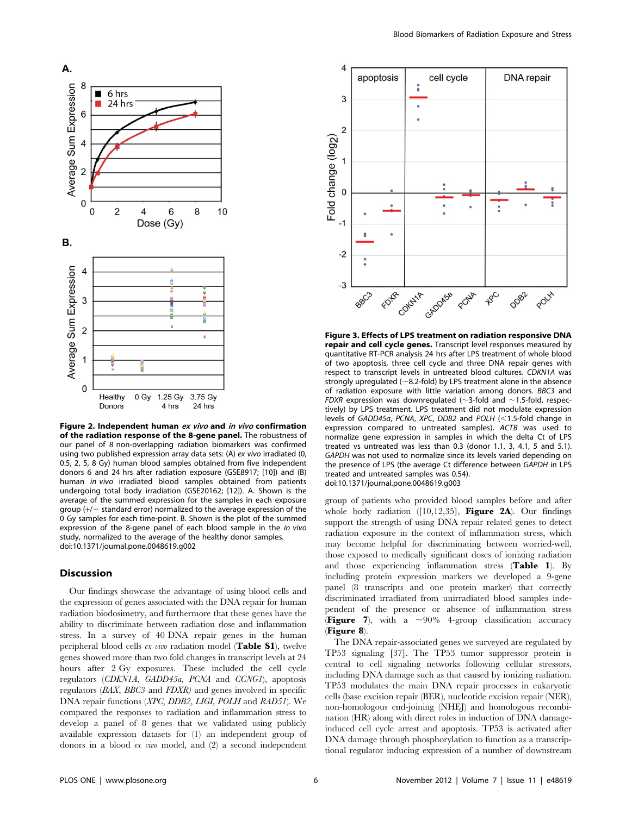

Figure 2. Independent human ex vivo and in vivo confirmation of the radiation response of the 8-gene panel. The robustness of our panel of 8 non-overlapping radiation biomarkers was confirmed using two published expression array data sets: (A) ex vivo irradiated (0, 0.5, 2, 5, 8 Gy) human blood samples obtained from five independent donors 6 and 24 hrs after radiation exposure (GSE8917; [10]) and (B) human in vivo irradiated blood samples obtained from patients undergoing total body irradiation (GSE20162; [12]). A. Shown is the average of the summed expression for the samples in each exposure group  $(+/-$  standard error) normalized to the average expression of the 0 Gy samples for each time-point. B. Shown is the plot of the summed expression of the 8-gene panel of each blood sample in the in vivo study, normalized to the average of the healthy donor samples. doi:10.1371/journal.pone.0048619.g002

#### Discussion

Our findings showcase the advantage of using blood cells and the expression of genes associated with the DNA repair for human radiation biodosimetry, and furthermore that these genes have the ability to discriminate between radiation dose and inflammation stress. In a survey of 40 DNA repair genes in the human peripheral blood cells ex vivo radiation model (Table S1), twelve genes showed more than two fold changes in transcript levels at 24 hours after 2 Gy exposures. These included the cell cycle regulators (CDKN1A, GADD45a, PCNA and CCNG1), apoptosis regulators (BAX, BBC3 and FDXR) and genes involved in specific DNA repair functions (XPC, DDB2, LIGI, POLH and RAD51). We compared the responses to radiation and inflammation stress to develop a panel of 8 genes that we validated using publicly available expression datasets for (1) an independent group of donors in a blood ex vivo model, and (2) a second independent



Figure 3. Effects of LPS treatment on radiation responsive DNA repair and cell cycle genes. Transcript level responses measured by quantitative RT-PCR analysis 24 hrs after LPS treatment of whole blood of two apoptosis, three cell cycle and three DNA repair genes with respect to transcript levels in untreated blood cultures. CDKN1A was strongly upregulated ( $\sim$ 8.2-fold) by LPS treatment alone in the absence of radiation exposure with little variation among donors. BBC3 and FDXR expression was downregulated ( $\sim$ 3-fold and  $\sim$ 1.5-fold, respectively) by LPS treatment. LPS treatment did not modulate expression levels of GADD45a, PCNA, XPC, DDB2 and POLH  $(<1.5$ -fold change in expression compared to untreated samples). ACTB was used to normalize gene expression in samples in which the delta Ct of LPS treated vs untreated was less than 0.3 (donor 1.1, 3, 4.1, 5 and 5.1). GAPDH was not used to normalize since its levels varied depending on the presence of LPS (the average Ct difference between GAPDH in LPS treated and untreated samples was 0.54). doi:10.1371/journal.pone.0048619.g003

group of patients who provided blood samples before and after whole body radiation  $([10,12,35]$ , Figure 2A). Our findings support the strength of using DNA repair related genes to detect radiation exposure in the context of inflammation stress, which may become helpful for discriminating between worried-well, those exposed to medically significant doses of ionizing radiation and those experiencing inflammation stress (Table 1). By including protein expression markers we developed a 9-gene panel (8 transcripts and one protein marker) that correctly discriminated irradiated from unirradiated blood samples independent of the presence or absence of inflammation stress **(Figure 7)**, with a  $\sim 90\%$  4-group classification accuracy (Figure 8).

The DNA repair-associated genes we surveyed are regulated by TP53 signaling [37]. The TP53 tumor suppressor protein is central to cell signaling networks following cellular stressors, including DNA damage such as that caused by ionizing radiation. TP53 modulates the main DNA repair processes in eukaryotic cells (base excision repair (BER), nucleotide excision repair (NER), non-homologous end-joining (NHEJ) and homologous recombination (HR) along with direct roles in induction of DNA damageinduced cell cycle arrest and apoptosis. TP53 is activated after DNA damage through phosphorylation to function as a transcriptional regulator inducing expression of a number of downstream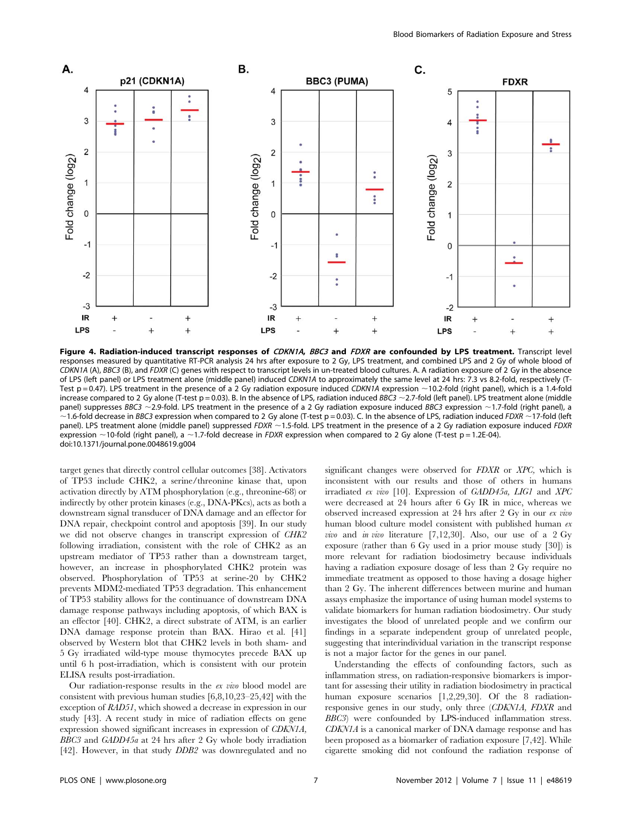

Figure 4. Radiation-induced transcript responses of CDKN1A, BBC3 and FDXR are confounded by LPS treatment. Transcript level responses measured by quantitative RT-PCR analysis 24 hrs after exposure to 2 Gy, LPS treatment, and combined LPS and 2 Gy of whole blood of CDKN1A (A), BBC3 (B), and FDXR (C) genes with respect to transcript levels in un-treated blood cultures. A. A radiation exposure of 2 Gy in the absence of LPS (left panel) or LPS treatment alone (middle panel) induced CDKN1A to approximately the same level at 24 hrs: 7.3 vs 8.2-fold, respectively (T-Test p = 0.47). LPS treatment in the presence of a 2 Gy radiation exposure induced CDKN1A expression ~10.2-fold (right panel), which is a 1.4-fold increase compared to 2 Gy alone (T-test  $p = 0.03$ ). B. In the absence of LPS, radiation induced BBC3 ~2.7-fold (left panel). LPS treatment alone (middle panel) suppresses BBC3 ~2.9-fold. LPS treatment in the presence of a 2 Gy radiation exposure induced BBC3 expression ~1.7-fold (right panel), a  $\sim$ 1.6-fold decrease in BBC3 expression when compared to 2 Gy alone (T-test p = 0.03). C. In the absence of LPS, radiation induced FDXR  $\sim$  17-fold (left panel). LPS treatment alone (middle panel) suppressed FDXR  $\sim$  1.5-fold. LPS treatment in the presence of a 2 Gy radiation exposure induced FDXR expression  $\sim$ 10-fold (right panel), a  $\sim$ 1.7-fold decrease in FDXR expression when compared to 2 Gy alone (T-test p = 1.2E-04). doi:10.1371/journal.pone.0048619.g004

target genes that directly control cellular outcomes [38]. Activators of TP53 include CHK2, a serine/threonine kinase that, upon activation directly by ATM phosphorylation (e.g., threonine-68) or indirectly by other protein kinases (e.g., DNA-PKcs), acts as both a downstream signal transducer of DNA damage and an effector for DNA repair, checkpoint control and apoptosis [39]. In our study we did not observe changes in transcript expression of CHK2 following irradiation, consistent with the role of CHK2 as an upstream mediator of TP53 rather than a downstream target, however, an increase in phosphorylated CHK2 protein was observed. Phosphorylation of TP53 at serine-20 by CHK2 prevents MDM2-mediated TP53 degradation. This enhancement of TP53 stability allows for the continuance of downstream DNA damage response pathways including apoptosis, of which BAX is an effector [40]. CHK2, a direct substrate of ATM, is an earlier DNA damage response protein than BAX. Hirao et al. [41] observed by Western blot that CHK2 levels in both sham- and 5 Gy irradiated wild-type mouse thymocytes precede BAX up until 6 h post-irradiation, which is consistent with our protein ELISA results post-irradiation.

Our radiation-response results in the ex vivo blood model are consistent with previous human studies [6,8,10,23–25,42] with the exception of RAD51, which showed a decrease in expression in our study [43]. A recent study in mice of radiation effects on gene expression showed significant increases in expression of CDKN1A, BBC3 and GADD45a at 24 hrs after 2 Gy whole body irradiation [42]. However, in that study DDB2 was downregulated and no significant changes were observed for FDXR or XPC, which is inconsistent with our results and those of others in humans irradiated ex vivo [10]. Expression of GADD45a, LIG1 and XPC were decreased at 24 hours after 6 Gy IR in mice, whereas we observed increased expression at 24 hrs after 2 Gy in our ex vivo human blood culture model consistent with published human ex vivo and in vivo literature [7,12,30]. Also, our use of a 2 Gy exposure (rather than 6 Gy used in a prior mouse study [30]) is more relevant for radiation biodosimetry because individuals having a radiation exposure dosage of less than 2 Gy require no immediate treatment as opposed to those having a dosage higher than 2 Gy. The inherent differences between murine and human assays emphasize the importance of using human model systems to validate biomarkers for human radiation biodosimetry. Our study investigates the blood of unrelated people and we confirm our findings in a separate independent group of unrelated people, suggesting that interindividual variation in the transcript response is not a major factor for the genes in our panel.

Understanding the effects of confounding factors, such as inflammation stress, on radiation-responsive biomarkers is important for assessing their utility in radiation biodosimetry in practical human exposure scenarios [1,2,29,30]. Of the 8 radiationresponsive genes in our study, only three (CDKN1A, FDXR and BBC3) were confounded by LPS-induced inflammation stress. CDKN1A is a canonical marker of DNA damage response and has been proposed as a biomarker of radiation exposure [7,42]. While cigarette smoking did not confound the radiation response of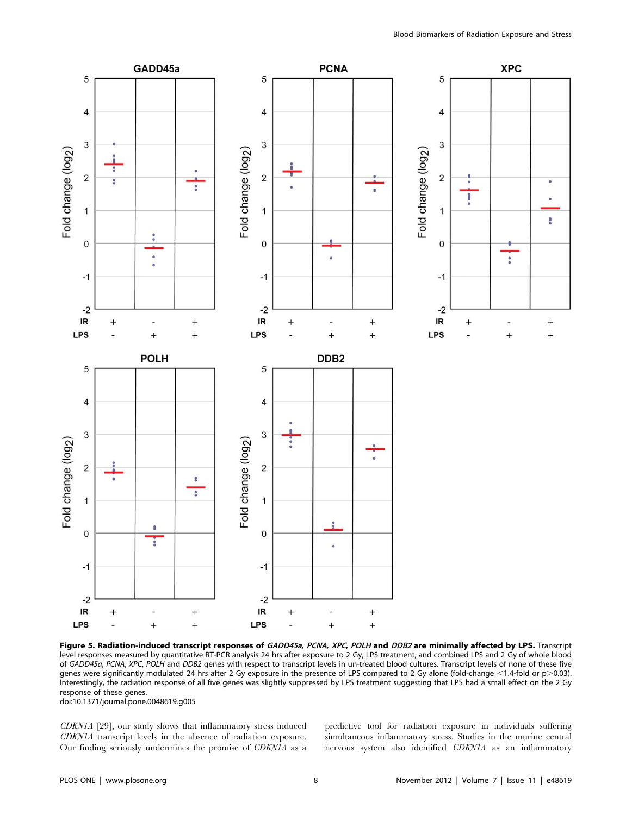

Figure 5. Radiation-induced transcript responses of GADD45a, PCNA, XPC, POLH and DDB2 are minimally affected by LPS. Transcript level responses measured by quantitative RT-PCR analysis 24 hrs after exposure to 2 Gy, LPS treatment, and combined LPS and 2 Gy of whole blood of GADD45a, PCNA, XPC, POLH and DDB2 genes with respect to transcript levels in un-treated blood cultures. Transcript levels of none of these five genes were significantly modulated 24 hrs after 2 Gy exposure in the presence of LPS compared to 2 Gy alone (fold-change <1.4-fold or p>0.03). Interestingly, the radiation response of all five genes was slightly suppressed by LPS treatment suggesting that LPS had a small effect on the 2 Gy response of these genes.

doi:10.1371/journal.pone.0048619.g005

CDKN1A [29], our study shows that inflammatory stress induced CDKN1A transcript levels in the absence of radiation exposure. Our finding seriously undermines the promise of CDKN1A as a predictive tool for radiation exposure in individuals suffering simultaneous inflammatory stress. Studies in the murine central nervous system also identified CDKN1A as an inflammatory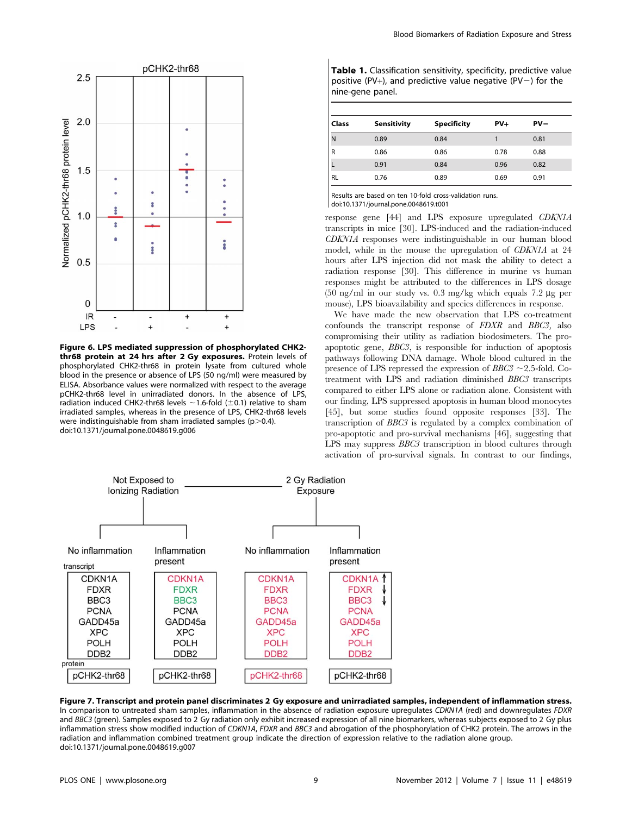

Figure 6. LPS mediated suppression of phosphorylated CHK2 thr68 protein at 24 hrs after 2 Gy exposures. Protein levels of phosphorylated CHK2-thr68 in protein lysate from cultured whole blood in the presence or absence of LPS (50 ng/ml) were measured by ELISA. Absorbance values were normalized with respect to the average pCHK2-thr68 level in unirradiated donors. In the absence of LPS, radiation induced CHK2-thr68 levels  $\sim$  1.6-fold ( $\pm$ 0.1) relative to sham irradiated samples, whereas in the presence of LPS, CHK2-thr68 levels were indistinguishable from sham irradiated samples ( $p > 0.4$ ). doi:10.1371/journal.pone.0048619.g006

| Table 1. Classification sensitivity, specificity, predictive value |
|--------------------------------------------------------------------|
| positive (PV+), and predictive value negative (PV $-$ ) for the    |
| nine-gene panel.                                                   |

| <b>Class</b> | <b>Sensitivity</b> | <b>Specificity</b> | $PV +$ | $PV -$ |
|--------------|--------------------|--------------------|--------|--------|
| l N          | 0.89               | 0.84               |        | 0.81   |
| l R          | 0.86               | 0.86               | 0.78   | 0.88   |
|              | 0.91               | 0.84               | 0.96   | 0.82   |
| <b>RL</b>    | 0.76               | 0.89               | 0.69   | 0.91   |

Results are based on ten 10-fold cross-validation runs. doi:10.1371/journal.pone.0048619.t001

 $\overline{\phantom{a}}$ 

response gene [44] and LPS exposure upregulated CDKN1A transcripts in mice [30]. LPS-induced and the radiation-induced CDKN1A responses were indistinguishable in our human blood model, while in the mouse the upregulation of CDKN1A at 24 hours after LPS injection did not mask the ability to detect a radiation response [30]. This difference in murine vs human responses might be attributed to the differences in LPS dosage (50 ng/ml in our study vs. 0.3 mg/kg which equals  $7.2 \mu$ g per mouse), LPS bioavailability and species differences in response.

We have made the new observation that LPS co-treatment confounds the transcript response of FDXR and BBC3, also compromising their utility as radiation biodosimeters. The proapoptotic gene, BBC3, is responsible for induction of apoptosis pathways following DNA damage. Whole blood cultured in the presence of LPS repressed the expression of  $BBC3 \sim 2.5$ -fold. Cotreatment with LPS and radiation diminished BBC3 transcripts compared to either LPS alone or radiation alone. Consistent with our finding, LPS suppressed apoptosis in human blood monocytes [45], but some studies found opposite responses [33]. The transcription of BBC3 is regulated by a complex combination of pro-apoptotic and pro-survival mechanisms [46], suggesting that LPS may suppress BBC3 transcription in blood cultures through activation of pro-survival signals. In contrast to our findings,



Figure 7. Transcript and protein panel discriminates 2 Gy exposure and unirradiated samples, independent of inflammation stress. In comparison to untreated sham samples, inflammation in the absence of radiation exposure upregulates CDKN1A (red) and downregulates FDXR and BBC3 (green). Samples exposed to 2 Gy radiation only exhibit increased expression of all nine biomarkers, whereas subjects exposed to 2 Gy plus inflammation stress show modified induction of CDKN1A, FDXR and BBC3 and abrogation of the phosphorylation of CHK2 protein. The arrows in the radiation and inflammation combined treatment group indicate the direction of expression relative to the radiation alone group. doi:10.1371/journal.pone.0048619.g007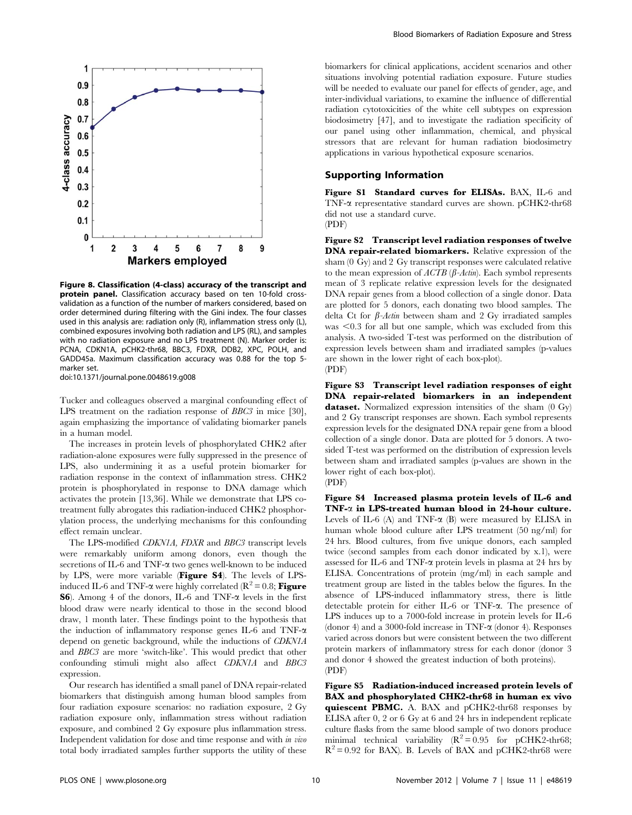

Figure 8. Classification (4-class) accuracy of the transcript and protein panel. Classification accuracy based on ten 10-fold crossvalidation as a function of the number of markers considered, based on order determined during filtering with the Gini index. The four classes used in this analysis are: radiation only (R), inflammation stress only (L), combined exposures involving both radiation and LPS (RL), and samples with no radiation exposure and no LPS treatment (N). Marker order is: PCNA, CDKN1A, pCHK2-thr68, BBC3, FDXR, DDB2, XPC, POLH, and GADD45a. Maximum classification accuracy was 0.88 for the top 5 marker set.

doi:10.1371/journal.pone.0048619.g008

Tucker and colleagues observed a marginal confounding effect of LPS treatment on the radiation response of *BBC3* in mice [30], again emphasizing the importance of validating biomarker panels in a human model.

The increases in protein levels of phosphorylated CHK2 after radiation-alone exposures were fully suppressed in the presence of LPS, also undermining it as a useful protein biomarker for radiation response in the context of inflammation stress. CHK2 protein is phosphorylated in response to DNA damage which activates the protein [13,36]. While we demonstrate that LPS cotreatment fully abrogates this radiation-induced CHK2 phosphorylation process, the underlying mechanisms for this confounding effect remain unclear.

The LPS-modified CDKN1A, FDXR and BBC3 transcript levels were remarkably uniform among donors, even though the secretions of IL-6 and TNF- $\alpha$  two genes well-known to be induced by LPS, were more variable (Figure S4). The levels of LPSinduced IL-6 and TNF- $\alpha$  were highly correlated ( $\mathbb{R}^2 = 0.8$ ; Figure **S6**). Among 4 of the donors, IL-6 and TNF- $\alpha$  levels in the first blood draw were nearly identical to those in the second blood draw, 1 month later. These findings point to the hypothesis that the induction of inflammatory response genes IL-6 and TNF- $\alpha$ depend on genetic background, while the inductions of CDKN1A and BBC3 are more 'switch-like'. This would predict that other confounding stimuli might also affect CDKN1A and BBC3 expression.

Our research has identified a small panel of DNA repair-related biomarkers that distinguish among human blood samples from four radiation exposure scenarios: no radiation exposure, 2 Gy radiation exposure only, inflammation stress without radiation exposure, and combined 2 Gy exposure plus inflammation stress. Independent validation for dose and time response and with in vivo total body irradiated samples further supports the utility of these biomarkers for clinical applications, accident scenarios and other situations involving potential radiation exposure. Future studies will be needed to evaluate our panel for effects of gender, age, and inter-individual variations, to examine the influence of differential radiation cytotoxicities of the white cell subtypes on expression biodosimetry [47], and to investigate the radiation specificity of our panel using other inflammation, chemical, and physical stressors that are relevant for human radiation biodosimetry applications in various hypothetical exposure scenarios.

#### Supporting Information

Figure S1 Standard curves for ELISAs. BAX, IL-6 and TNF-a representative standard curves are shown. pCHK2-thr68 did not use a standard curve. (PDF)

Figure S2 Transcript level radiation responses of twelve DNA repair-related biomarkers. Relative expression of the sham (0 Gy) and 2 Gy transcript responses were calculated relative to the mean expression of  $ACTB$  ( $\beta$ -Actin). Each symbol represents mean of 3 replicate relative expression levels for the designated DNA repair genes from a blood collection of a single donor. Data are plotted for 5 donors, each donating two blood samples. The delta Ct for  $\beta$ -Actin between sham and 2 Gy irradiated samples was  $<$ 0.3 for all but one sample, which was excluded from this analysis. A two-sided T-test was performed on the distribution of expression levels between sham and irradiated samples (p-values are shown in the lower right of each box-plot). (PDF)

Figure S3 Transcript level radiation responses of eight DNA repair-related biomarkers in an independent dataset. Normalized expression intensities of the sham (0 Gy) and 2 Gy transcript responses are shown. Each symbol represents expression levels for the designated DNA repair gene from a blood collection of a single donor. Data are plotted for 5 donors. A twosided T-test was performed on the distribution of expression levels between sham and irradiated samples (p-values are shown in the lower right of each box-plot). (PDF)

Figure S4 Increased plasma protein levels of IL-6 and  $TNF-\alpha$  in LPS-treated human blood in 24-hour culture. Levels of IL-6  $(A)$  and TNF- $\alpha$   $(B)$  were measured by ELISA in human whole blood culture after LPS treatment (50 ng/ml) for 24 hrs. Blood cultures, from five unique donors, each sampled twice (second samples from each donor indicated by x.1), were assessed for IL-6 and TNF-a protein levels in plasma at 24 hrs by ELISA. Concentrations of protein (mg/ml) in each sample and treatment group are listed in the tables below the figures. In the absence of LPS-induced inflammatory stress, there is little detectable protein for either IL-6 or TNF-a. The presence of LPS induces up to a 7000-fold increase in protein levels for IL-6 (donor 4) and a 3000-fold increase in TNF- $\alpha$  (donor 4). Responses varied across donors but were consistent between the two different protein markers of inflammatory stress for each donor (donor 3 and donor 4 showed the greatest induction of both proteins). (PDF)

Figure S5 Radiation-induced increased protein levels of BAX and phosphorylated CHK2-thr68 in human ex vivo quiescent PBMC. A. BAX and pCHK2-thr68 responses by ELISA after 0, 2 or 6 Gy at 6 and 24 hrs in independent replicate culture flasks from the same blood sample of two donors produce minimal technical variability  $(R^2 = 0.95$  for pCHK2-thr68;  $R^2$  = 0.92 for BAX). B. Levels of BAX and pCHK2-thr68 were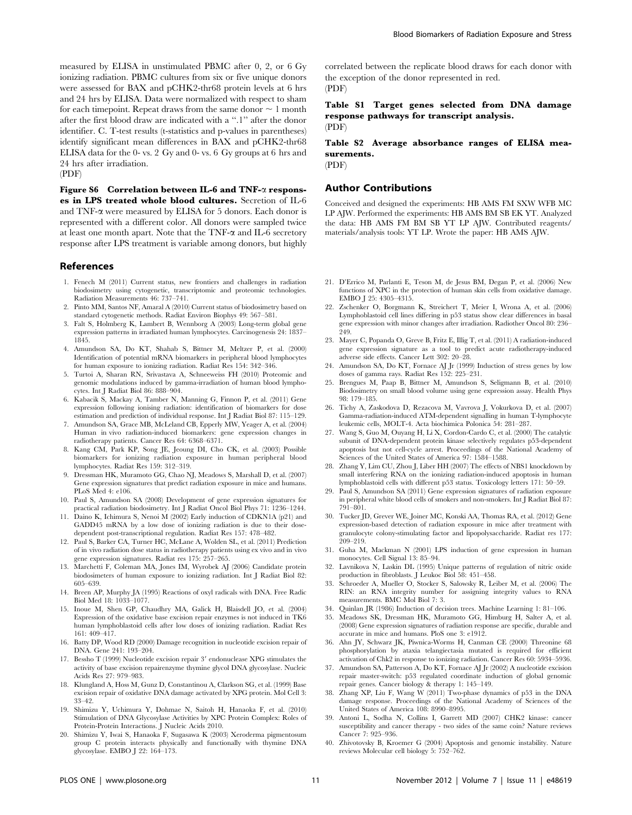measured by ELISA in unstimulated PBMC after 0, 2, or 6 Gy ionizing radiation. PBMC cultures from six or five unique donors were assessed for BAX and pCHK2-thr68 protein levels at 6 hrs and 24 hrs by ELISA. Data were normalized with respect to sham for each timepoint. Repeat draws from the same donor  $\sim 1$  month after the first blood draw are indicated with a ''.1'' after the donor identifier. C. T-test results (t-statistics and p-values in parentheses) identify significant mean differences in BAX and pCHK2-thr68 ELISA data for the 0- vs. 2 Gy and 0- vs. 6 Gy groups at 6 hrs and 24 hrs after irradiation. (PDF)

Figure S6 Correlation between IL-6 and TNF-a responses in LPS treated whole blood cultures. Secretion of IL-6 and TNF- $\alpha$  were measured by ELISA for 5 donors. Each donor is represented with a different color. All donors were sampled twice at least one month apart. Note that the TNF-a and IL-6 secretory response after LPS treatment is variable among donors, but highly

#### References

- 1. Fenech M (2011) Current status, new frontiers and challenges in radiation biodosimetry using cytogenetic, transcriptomic and proteomic technologies. Radiation Measurements 46: 737–741.
- 2. Pinto MM, Santos NF, Amaral A (2010) Current status of biodosimetry based on standard cytogenetic methods. Radiat Environ Biophys 49: 567–581.
- 3. Falt S, Holmberg K, Lambert B, Wennborg A (2003) Long-term global gene expression patterns in irradiated human lymphocytes. Carcinogenesis 24: 1837– 1845.
- 4. Amundson SA, Do KT, Shahab S, Bittner M, Meltzer P, et al. (2000) Identification of potential mRNA biomarkers in peripheral blood lymphocytes for human exposure to ionizing radiation. Radiat Res 154: 342–346.
- 5. Turtoi A, Sharan RN, Srivastava A, Schneeweiss FH (2010) Proteomic and genomic modulations induced by gamma-irradiation of human blood lymphocytes. Int J Radiat Biol 86: 888–904.
- 6. Kabacik S, Mackay A, Tamber N, Manning G, Finnon P, et al. (2011) Gene expression following ionising radiation: identification of biomarkers for dose estimation and prediction of individual response. Int J Radiat Biol 87: 115–129.
- 7. Amundson SA, Grace MB, McLeland CB, Epperly MW, Yeager A, et al. (2004) Human in vivo radiation-induced biomarkers: gene expression changes in radiotherapy patients. Cancer Res 64: 6368–6371.
- 8. Kang CM, Park KP, Song JE, Jeoung DI, Cho CK, et al. (2003) Possible biomarkers for ionizing radiation exposure in human peripheral blood lymphocytes. Radiat Res 159: 312–319.
- 9. Dressman HK, Muramoto GG, Chao NJ, Meadows S, Marshall D, et al. (2007) Gene expression signatures that predict radiation exposure in mice and humans. PLoS Med 4: e106.
- 10. Paul S, Amundson SA (2008) Development of gene expression signatures for practical radiation biodosimetry. Int J Radiat Oncol Biol Phys 71: 1236–1244.
- 11. Daino K, Ichimura S, Nenoi M (2002) Early induction of CDKN1A (p21) and GADD45 mRNA by a low dose of ionizing radiation is due to their dosedependent post-transcriptional regulation. Radiat Res 157: 478–482.
- 12. Paul S, Barker CA, Turner HC, McLane A, Wolden SL, et al. (2011) Prediction of in vivo radiation dose status in radiotherapy patients using ex vivo and in vivo gene expression signatures. Radiat res 175: 257–265.
- 13. Marchetti F, Coleman MA, Jones IM, Wyrobek AJ (2006) Candidate protein biodosimeters of human exposure to ionizing radiation. Int J Radiat Biol 82: 605–639.
- 14. Breen AP, Murphy JA (1995) Reactions of oxyl radicals with DNA. Free Radic Biol Med 18: 1033–1077.
- 15. Inoue M, Shen GP, Chaudhry MA, Galick H, Blaisdell JO, et al. (2004) Expression of the oxidative base excision repair enzymes is not induced in TK6 human lymphoblastoid cells after low doses of ionizing radiation. Radiat Res 161: 409–417.
- 16. Batty DP, Wood RD (2000) Damage recognition in nucleotide excision repair of DNA. Gene 241: 193–204.
- 17. Bessho T (1999) Nucleotide excision repair 3' endonuclease XPG stimulates the activity of base excision repairenzyme thymine glycol DNA glycosylase. Nucleic Acids Res 27: 979–983.
- 18. Klungland A, Hoss M, Gunz D, Constantinou A, Clarkson SG, et al. (1999) Base excision repair of oxidative DNA damage activated by XPG protein. Mol Cell 3: 33–42.
- 19. Shimizu Y, Uchimura Y, Dohmae N, Saitoh H, Hanaoka F, et al. (2010) Stimulation of DNA Glycosylase Activities by XPC Protein Complex: Roles of Protein-Protein Interactions. J Nucleic Acids 2010.
- 20. Shimizu Y, Iwai S, Hanaoka F, Sugasawa K (2003) Xeroderma pigmentosum group C protein interacts physically and functionally with thymine DNA glycosylase. EMBO J 22: 164–173.

correlated between the replicate blood draws for each donor with the exception of the donor represented in red. (PDF)

Table S1 Target genes selected from DNA damage response pathways for transcript analysis. (PDF)

Table S2 Average absorbance ranges of ELISA measurements.

(PDF)

#### Author Contributions

Conceived and designed the experiments: HB AMS FM SXW WFB MC LP AJW. Performed the experiments: HB AMS BM SB EK YT. Analyzed the data: HB AMS FM BM SB YT LP AJW. Contributed reagents/ materials/analysis tools: YT LP. Wrote the paper: HB AMS AJW.

- 21. D'Errico M, Parlanti E, Teson M, de Jesus BM, Degan P, et al. (2006) New functions of XPC in the protection of human skin cells from oxidative damage. EMBO J 25: 4305–4315.
- 22. Zschenker O, Borgmann K, Streichert T, Meier I, Wrona A, et al. (2006) Lymphoblastoid cell lines differing in p53 status show clear differences in basal gene expression with minor changes after irradiation. Radiother Oncol 80: 236– 249.
- 23. Mayer C, Popanda O, Greve B, Fritz E, Illig T, et al. (2011) A radiation-induced gene expression signature as a tool to predict acute radiotherapy-induced adverse side effects. Cancer Lett 302: 20–28.
- 24. Amundson SA, Do KT, Fornace AJ Jr (1999) Induction of stress genes by low doses of gamma rays. Radiat Res 152: 225–231.
- 25. Brengues M, Paap B, Bittner M, Amundson S, Seligmann B, et al. (2010) Biodosimetry on small blood volume using gene expression assay. Health Phys 98: 179–185.
- 26. Tichy A, Zaskodova D, Rezacova M, Vavrova J, Vokurkova D, et al. (2007) Gamma-radiation-induced ATM-dependent signalling in human T-lymphocyte leukemic cells, MOLT-4. Acta biochimica Polonica 54: 281–287.
- 27. Wang S, Guo M, Ouyang H, Li X, Cordon-Cardo C, et al. (2000) The catalytic subunit of DNA-dependent protein kinase selectively regulates p53-dependent apoptosis but not cell-cycle arrest. Proceedings of the National Academy of Sciences of the United States of America 97: 1584–1588.
- 28. Zhang Y, Lim CU, Zhou J, Liber HH (2007) The effects of NBS1 knockdown by small interfering RNA on the ionizing radiation-induced apoptosis in human lymphoblastoid cells with different p53 status. Toxicology letters 171: 50–59.
- 29. Paul S, Amundson SA (2011) Gene expression signatures of radiation exposure in peripheral white blood cells of smokers and non-smokers. Int J Radiat Biol 87: 791–801.
- 30. Tucker JD, Grever WE, Joiner MC, Konski AA, Thomas RA, et al. (2012) Gene expression-based detection of radiation exposure in mice after treatment with granulocyte colony-stimulating factor and lipopolysaccharide. Radiat res 177: 209–219.
- 31. Guha M, Mackman N (2001) LPS induction of gene expression in human monocytes. Cell Signal 13: 85–94.
- 32. Lavnikova N, Laskin DL (1995) Unique patterns of regulation of nitric oxide production in fibroblasts. J Leukoc Biol 58: 451–458.
- 33. Schroeder A, Mueller O, Stocker S, Salowsky R, Leiber M, et al. (2006) The RIN: an RNA integrity number for assigning integrity values to RNA measurements. BMC Mol Biol 7: 3.
- 34. Quinlan JR (1986) Induction of decision trees. Machine Learning 1: 81–106.
- 35. Meadows SK, Dressman HK, Muramoto GG, Himburg H, Salter A, et al. (2008) Gene expression signatures of radiation response are specific, durable and accurate in mice and humans. PloS one 3: e1912.
- 36. Ahn JY, Schwarz JK, Piwnica-Worms H, Canman CE (2000) Threonine 68 phosphorylation by ataxia telangiectasia mutated is required for efficient activation of Chk2 in response to ionizing radiation. Cancer Res 60: 5934–5936.
- 37. Amundson SA, Patterson A, Do KT, Fornace AJ Jr (2002) A nucleotide excision repair master-switch: p53 regulated coordinate induction of global genomic repair genes. Cancer biology & therapy 1: 145–149.
- 38. Zhang XP, Liu F, Wang W (2011) Two-phase dynamics of p53 in the DNA damage response. Proceedings of the National Academy of Sciences of the United States of America 108: 8990–8995.
- 39. Antoni L, Sodha N, Collins I, Garrett MD (2007) CHK2 kinase: cancer susceptibility and cancer therapy - two sides of the same coin? Nature reviews Cancer 7: 925–936.
- 40. Zhivotovsky B, Kroemer G (2004) Apoptosis and genomic instability. Nature reviews Molecular cell biology 5: 752–762.